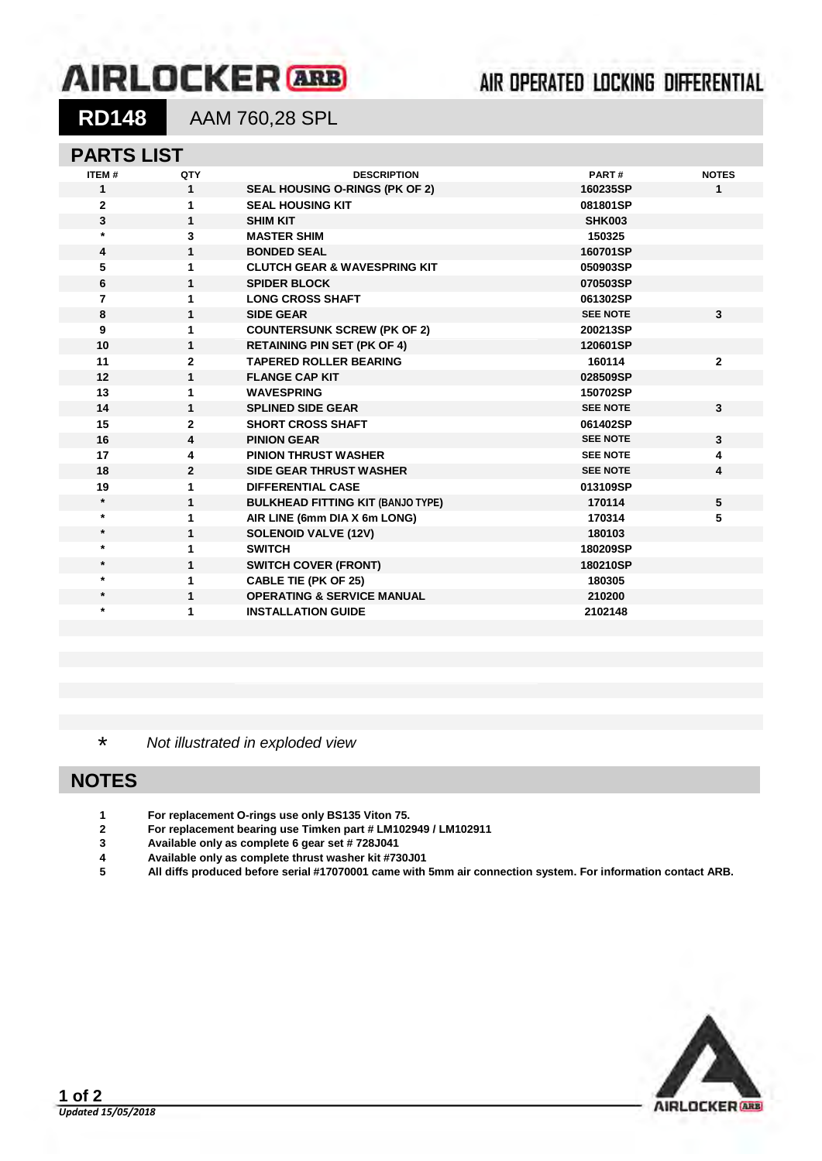# **AIRLOCKER** ARB

## 

**RD148** AAM 760,28 SPL

#### **PARTS LIST**

| ITEM#        | QTY          | <b>DESCRIPTION</b>                       | PART#           | <b>NOTES</b> |
|--------------|--------------|------------------------------------------|-----------------|--------------|
| 1            | $\mathbf 1$  | <b>SEAL HOUSING O-RINGS (PK OF 2)</b>    | 160235SP        | 1            |
| $\mathbf{2}$ | 1            | <b>SEAL HOUSING KIT</b>                  | 081801SP        |              |
| 3            | $\mathbf{1}$ | <b>SHIM KIT</b>                          | <b>SHK003</b>   |              |
| $\star$      | 3            | <b>MASTER SHIM</b>                       | 150325          |              |
| 4            | $\mathbf{1}$ | <b>BONDED SEAL</b>                       | 160701SP        |              |
| 5            | 1            | <b>CLUTCH GEAR &amp; WAVESPRING KIT</b>  | 050903SP        |              |
| 6            | $\mathbf{1}$ | <b>SPIDER BLOCK</b>                      | 070503SP        |              |
| 7            | 1            | <b>LONG CROSS SHAFT</b>                  | 061302SP        |              |
| 8            | $\mathbf{1}$ | <b>SIDE GEAR</b>                         | <b>SEE NOTE</b> | 3            |
| 9            | 1            | <b>COUNTERSUNK SCREW (PK OF 2)</b>       | 200213SP        |              |
| 10           | $\mathbf{1}$ | <b>RETAINING PIN SET (PK OF 4)</b>       | 120601SP        |              |
| 11           | $\mathbf{2}$ | <b>TAPERED ROLLER BEARING</b>            | 160114          | $\mathbf{2}$ |
| 12           | $\mathbf{1}$ | <b>FLANGE CAP KIT</b>                    | 028509SP        |              |
| 13           | 1            | <b>WAVESPRING</b>                        | 150702SP        |              |
| 14           | $\mathbf{1}$ | <b>SPLINED SIDE GEAR</b>                 | <b>SEE NOTE</b> | 3            |
| 15           | $\mathbf{2}$ | <b>SHORT CROSS SHAFT</b>                 | 061402SP        |              |
| 16           | 4            | <b>PINION GEAR</b>                       | <b>SEE NOTE</b> | 3            |
| 17           | 4            | <b>PINION THRUST WASHER</b>              | <b>SEE NOTE</b> | 4            |
| 18           | $\mathbf{2}$ | <b>SIDE GEAR THRUST WASHER</b>           | <b>SEE NOTE</b> | 4            |
| 19           | 1            | <b>DIFFERENTIAL CASE</b>                 | 013109SP        |              |
| $\star$      | 1            | <b>BULKHEAD FITTING KIT (BANJO TYPE)</b> | 170114          | 5            |
| $\star$      | 1            | AIR LINE (6mm DIA X 6m LONG)             | 170314          | 5            |
| $\star$      | 1            | <b>SOLENOID VALVE (12V)</b>              | 180103          |              |
| $\star$      | 1            | <b>SWITCH</b>                            | 180209SP        |              |
| $\star$      | 1            | <b>SWITCH COVER (FRONT)</b>              | 180210SP        |              |
| $^\star$     | 1            | <b>CABLE TIE (PK OF 25)</b>              | 180305          |              |
| $\star$      | $\mathbf{1}$ | <b>OPERATING &amp; SERVICE MANUAL</b>    | 210200          |              |
| $\ast$       | 1            | <b>INSTALLATION GUIDE</b>                | 2102148         |              |
|              |              |                                          |                 |              |

\* *Not illustrated in exploded view*

### **NOTES**

- **1 For replacement O-rings use only BS135 Viton 75.**
- **2 For replacement bearing use Timken part # LM102949 / LM102911**
- **3 Available only as complete 6 gear set # 728J041**
- **4 Available only as complete thrust washer kit #730J01**
- **5 All diffs produced before serial #17070001 came with 5mm air connection system. For information contact ARB.**